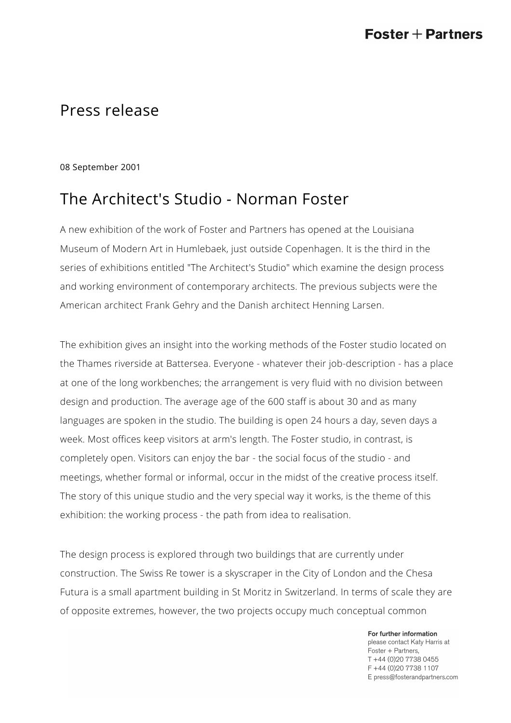## Press release

08 September 2001

# The Architect's Studio - Norman Foster

A new exhibition of the work of Foster and Partners has opened at the Louisiana Museum of Modern Art in Humlebaek, just outside Copenhagen. It is the third in the series of exhibitions entitled "The Architect's Studio" which examine the design process and working environment of contemporary architects. The previous subjects were the American architect Frank Gehry and the Danish architect Henning Larsen.

The exhibition gives an insight into the working methods of the Foster studio located on the Thames riverside at Battersea. Everyone - whatever their job-description - has a place at one of the long workbenches; the arrangement is very fluid with no division between design and production. The average age of the 600 staff is about 30 and as many languages are spoken in the studio. The building is open 24 hours a day, seven days a week. Most offices keep visitors at arm's length. The Foster studio, in contrast, is completely open. Visitors can enjoy the bar - the social focus of the studio - and meetings, whether formal or informal, occur in the midst of the creative process itself. The story of this unique studio and the very special way it works, is the theme of this exhibition: the working process - the path from idea to realisation.

The design process is explored through two buildings that are currently under construction. The Swiss Re tower is a skyscraper in the City of London and the Chesa Futura is a small apartment building in St Moritz in Switzerland. In terms of scale they are of opposite extremes, however, the two projects occupy much conceptual common

> For further information please contact Katy Harris at Foster + Partners, T +44 (0)20 7738 0455 F +44 (0) 20 7738 1107 E press@fosterandpartners.com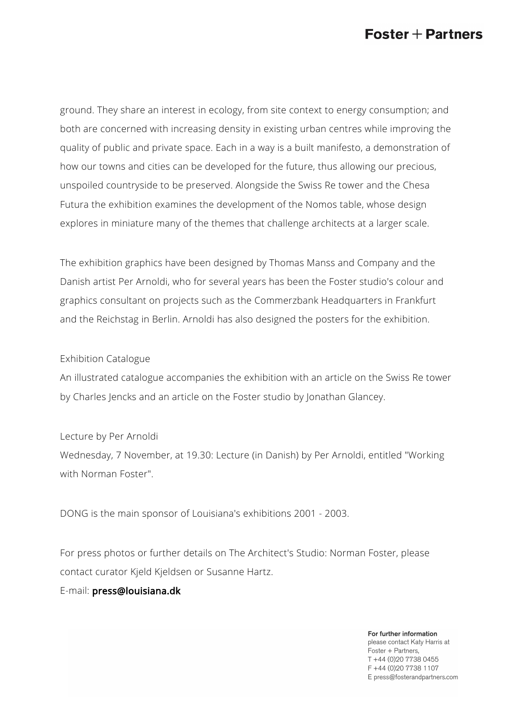### $\textsf{Foster}+\textsf{Partners}$

ground. They share an interest in ecology, from site context to energy consumption; and both are concerned with increasing density in existing urban centres while improving the quality of public and private space. Each in a way is a built manifesto, a demonstration of how our towns and cities can be developed for the future, thus allowing our precious, unspoiled countryside to be preserved. Alongside the Swiss Re tower and the Chesa Futura the exhibition examines the development of the Nomos table, whose design explores in miniature many of the themes that challenge architects at a larger scale.

The exhibition graphics have been designed by Thomas Manss and Company and the Danish artist Per Arnoldi, who for several years has been the Foster studio's colour and graphics consultant on projects such as the Commerzbank Headquarters in Frankfurt and the Reichstag in Berlin. Arnoldi has also designed the posters for the exhibition.

#### Exhibition Catalogue

An illustrated catalogue accompanies the exhibition with an article on the Swiss Re tower by Charles Jencks and an article on the Foster studio by Jonathan Glancey.

Lecture by Per Arnoldi Wednesday, 7 November, at 19.30: Lecture (in Danish) by Per Arnoldi, entitled "Working with Norman Foster".

DONG is the main sponsor of Louisiana's exhibitions 2001 - 2003.

For press photos or further details on The Architect's Studio: Norman Foster, please contact curator Kjeld Kjeldsen or Susanne Hartz.

E-mail: [press@louisiana.dk](mailto:press@louisiana.dk)

For further information please contact Katy Harris at Foster + Partners, T +44 (0)20 7738 0455 F +44 (0) 20 7738 1107 E press@fosterandpartners.com